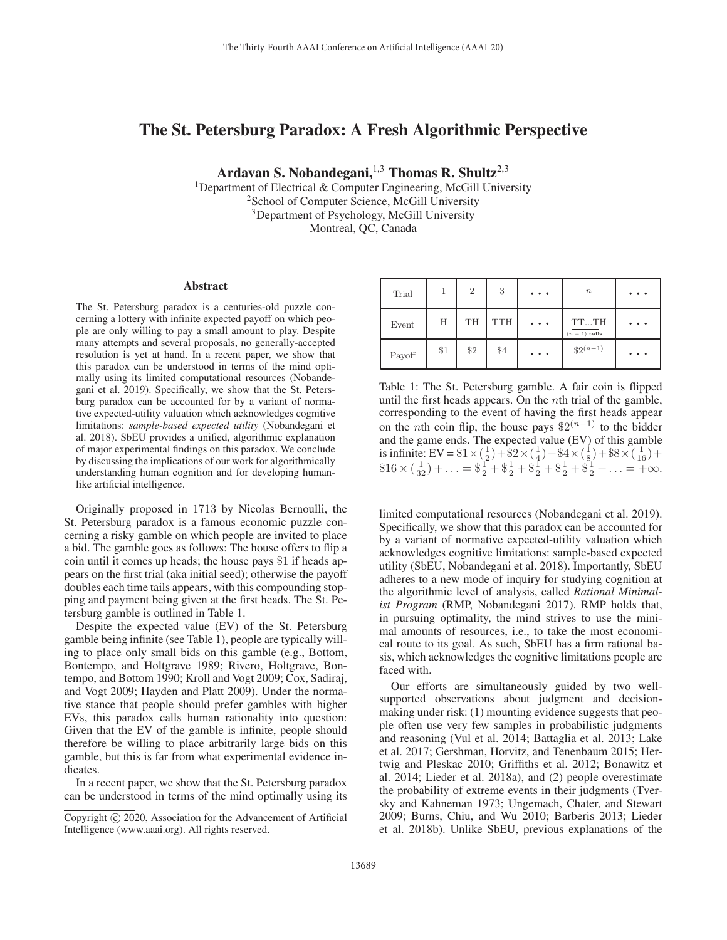# The St. Petersburg Paradox: A Fresh Algorithmic Perspective

Ardavan S. Nobandegani,  $1,3$  Thomas R. Shultz<sup>2,3</sup>

<sup>1</sup>Department of Electrical & Computer Engineering, McGill University <sup>2</sup> School of Computer Science, McGill University <sup>3</sup>Department of Psychology, McGill University Montreal, QC, Canada

#### Abstract

The St. Petersburg paradox is a centuries-old puzzle concerning a lottery with infinite expected payoff on which people are only willing to pay a small amount to play. Despite many attempts and several proposals, no generally-accepted resolution is yet at hand. In a recent paper, we show that this paradox can be understood in terms of the mind optimally using its limited computational resources (Nobandegani et al. 2019). Specifically, we show that the St. Petersburg paradox can be accounted for by a variant of normative expected-utility valuation which acknowledges cognitive limitations: *sample-based expected utility* (Nobandegani et al. 2018). SbEU provides a unified, algorithmic explanation of major experimental findings on this paradox. We conclude by discussing the implications of our work for algorithmically understanding human cognition and for developing humanlike artificial intelligence.

Originally proposed in 1713 by Nicolas Bernoulli, the St. Petersburg paradox is a famous economic puzzle concerning a risky gamble on which people are invited to place a bid. The gamble goes as follows: The house offers to flip a coin until it comes up heads; the house pays \$1 if heads appears on the first trial (aka initial seed); otherwise the payoff doubles each time tails appears, with this compounding stopping and payment being given at the first heads. The St. Petersburg gamble is outlined in Table 1.

Despite the expected value (EV) of the St. Petersburg gamble being infinite (see Table 1), people are typically willing to place only small bids on this gamble (e.g., Bottom, Bontempo, and Holtgrave 1989; Rivero, Holtgrave, Bontempo, and Bottom 1990; Kroll and Vogt 2009; Cox, Sadiraj, and Vogt 2009; Hayden and Platt 2009). Under the normative stance that people should prefer gambles with higher EVs, this paradox calls human rationality into question: Given that the EV of the gamble is infinite, people should therefore be willing to place arbitrarily large bids on this gamble, but this is far from what experimental evidence indicates.

In a recent paper, we show that the St. Petersburg paradox can be understood in terms of the mind optimally using its

| Trial  |     | $\overline{2}$ | 3          | $\cdots$                                                               | $\, n$                | $\begin{array}{ccc} \bullet & \bullet & \bullet \end{array}$ |
|--------|-----|----------------|------------|------------------------------------------------------------------------|-----------------------|--------------------------------------------------------------|
| Event  | Η   | TH             | <b>TTH</b> | $\begin{array}{ccc} \bullet & \bullet & \bullet & \bullet \end{array}$ | TTTH<br>$(n-1)$ tails | $\bullet$<br>$\bullet$                                       |
| Payoff | \$1 | \$2            | \$4        | $\cdots$                                                               | $\sqrt[6]{2^{(n-1)}}$ | $\bullet\quad \bullet$<br>$\bullet$                          |

Table 1: The St. Petersburg gamble. A fair coin is flipped until the first heads appears. On the nth trial of the gamble, corresponding to the event of having the first heads appear on the *n*th coin flip, the house pays  $$2^{(n-1)}$$  to the bidder and the game ends. The expected value (EV) of this gamble is infinite: EV =  $$1 \times (\frac{1}{2}) + $2 \times (\frac{1}{4}) + $4 \times (\frac{1}{8}) + $8 \times (\frac{1}{16}) + $4 \times (\frac{1}{16}) + $4 \times (\frac{1}{16}) + $4 \times (\frac{1}{16}) + $4 \times (\frac{1}{16}) + $4 \times (\frac{1}{16}) + $4 \times (\frac{1}{16}) + $4 \times (\frac{1}{16}) + $4 \times (\frac{1}{16}) + $4 \times (\frac{1}{16}) + $4 \times (\frac{1}{16}) + $4 \times (\frac{1}{16}) + $4 \times (\frac{1}{1$  $$16 \times (\frac{1}{32}) + \ldots = $ \frac{1}{2} + $ \frac{1}{2} + $ \frac{1}{2} + $ \frac{1}{2} + $ \frac{1}{2} + \ldots = +\infty.$ 

limited computational resources (Nobandegani et al. 2019). Specifically, we show that this paradox can be accounted for by a variant of normative expected-utility valuation which acknowledges cognitive limitations: sample-based expected utility (SbEU, Nobandegani et al. 2018). Importantly, SbEU adheres to a new mode of inquiry for studying cognition at the algorithmic level of analysis, called *Rational Minimalist Program* (RMP, Nobandegani 2017). RMP holds that, in pursuing optimality, the mind strives to use the minimal amounts of resources, i.e., to take the most economical route to its goal. As such, SbEU has a firm rational basis, which acknowledges the cognitive limitations people are faced with.

Our efforts are simultaneously guided by two wellsupported observations about judgment and decisionmaking under risk: (1) mounting evidence suggests that people often use very few samples in probabilistic judgments and reasoning (Vul et al. 2014; Battaglia et al. 2013; Lake et al. 2017; Gershman, Horvitz, and Tenenbaum 2015; Hertwig and Pleskac 2010; Griffiths et al. 2012; Bonawitz et al. 2014; Lieder et al. 2018a), and (2) people overestimate the probability of extreme events in their judgments (Tversky and Kahneman 1973; Ungemach, Chater, and Stewart 2009; Burns, Chiu, and Wu 2010; Barberis 2013; Lieder et al. 2018b). Unlike SbEU, previous explanations of the

Copyright  $\odot$  2020, Association for the Advancement of Artificial Intelligence (www.aaai.org). All rights reserved.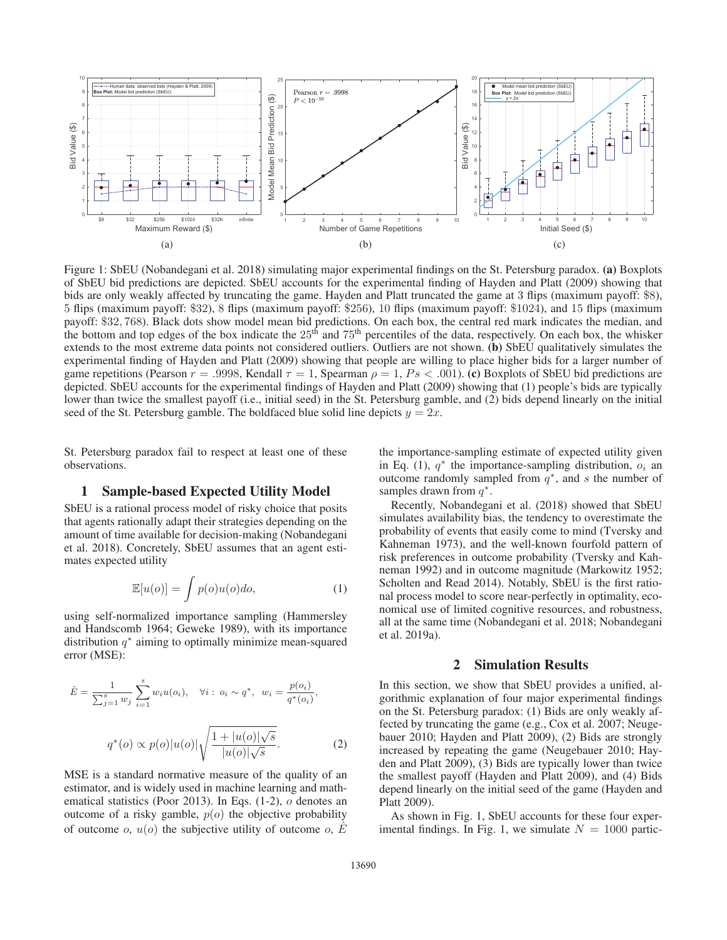

Figure 1: SbEU (Nobandegani et al. 2018) simulating major experimental findings on the St. Petersburg paradox. (a) Boxplots of SbEU bid predictions are depicted. SbEU accounts for the experimental finding of Hayden and Platt (2009) showing that bids are only weakly affected by truncating the game. Hayden and Platt truncated the game at 3 flips (maximum payoff: \$8), 5 flips (maximum payoff: \$32), 8 flips (maximum payoff: \$256), 10 flips (maximum payoff: \$1024), and 15 flips (maximum payoff: \$32, 768). Black dots show model mean bid predictions. On each box, the central red mark indicates the median, and the bottom and top edges of the box indicate the  $25<sup>th</sup>$  and  $75<sup>th</sup>$  percentiles of the data, respectively. On each box, the whisker extends to the most extreme data points not considered outliers. Outliers are not shown. (b) SbEU qualitatively simulates the experimental finding of Hayden and Platt (2009) showing that people are willing to place higher bids for a larger number of game repetitions (Pearson  $r = .9998$ , Kendall  $\tau = 1$ , Spearman  $\rho = 1$ ,  $Ps < .001$ ). (c) Boxplots of SbEU bid predictions are depicted. SbEU accounts for the experimental findings of Hayden and Platt (2009) showing that (1) people's bids are typically lower than twice the smallest payoff (i.e., initial seed) in the St. Petersburg gamble, and (2) bids depend linearly on the initial seed of the St. Petersburg gamble. The boldfaced blue solid line depicts  $y = 2x$ .

St. Petersburg paradox fail to respect at least one of these observations.

### 1 Sample-based Expected Utility Model

SbEU is a rational process model of risky choice that posits that agents rationally adapt their strategies depending on the amount of time available for decision-making (Nobandegani et al. 2018). Concretely, SbEU assumes that an agent estimates expected utility

$$
\mathbb{E}[u(o)] = \int p(o)u(o)do,
$$
\n(1)

using self-normalized importance sampling (Hammersley and Handscomb 1964; Geweke 1989), with its importance distribution  $q^*$  aiming to optimally minimize mean-squared error (MSE):

$$
\hat{E} = \frac{1}{\sum_{j=1}^{s} w_j} \sum_{i=1}^{s} w_i u(o_i), \quad \forall i : o_i \sim q^*, \quad w_i = \frac{p(o_i)}{q^*(o_i)},
$$
\n
$$
q^*(o) \propto p(o) |u(o)| \sqrt{\frac{1 + |u(o)| \sqrt{s}}{|u(o)| \sqrt{s}}}. \tag{2}
$$

MSE is a standard normative measure of the quality of an estimator, and is widely used in machine learning and mathematical statistics (Poor 2013). In Eqs. (1-2), o denotes an outcome of a risky gamble,  $p(o)$  the objective probability of outcome o,  $u(o)$  the subjective utility of outcome o,  $\hat{E}$ 

the importance-sampling estimate of expected utility given in Eq. (1),  $q^*$  the importance-sampling distribution,  $o_i$  and outcome randomly sampled from  $q^*$ , and s the number of samples drawn from  $q^*$ .

Recently, Nobandegani et al. (2018) showed that SbEU simulates availability bias, the tendency to overestimate the probability of events that easily come to mind (Tversky and Kahneman 1973), and the well-known fourfold pattern of risk preferences in outcome probability (Tversky and Kahneman 1992) and in outcome magnitude (Markowitz 1952; Scholten and Read 2014). Notably, SbEU is the first rational process model to score near-perfectly in optimality, economical use of limited cognitive resources, and robustness, all at the same time (Nobandegani et al. 2018; Nobandegani et al. 2019a).

## 2 Simulation Results

In this section, we show that SbEU provides a unified, algorithmic explanation of four major experimental findings on the St. Petersburg paradox: (1) Bids are only weakly affected by truncating the game (e.g., Cox et al. 2007; Neugebauer 2010; Hayden and Platt 2009), (2) Bids are strongly increased by repeating the game (Neugebauer 2010; Hayden and Platt 2009), (3) Bids are typically lower than twice the smallest payoff (Hayden and Platt 2009), and (4) Bids depend linearly on the initial seed of the game (Hayden and Platt 2009).

As shown in Fig. 1, SbEU accounts for these four experimental findings. In Fig. 1, we simulate  $N = 1000$  partic-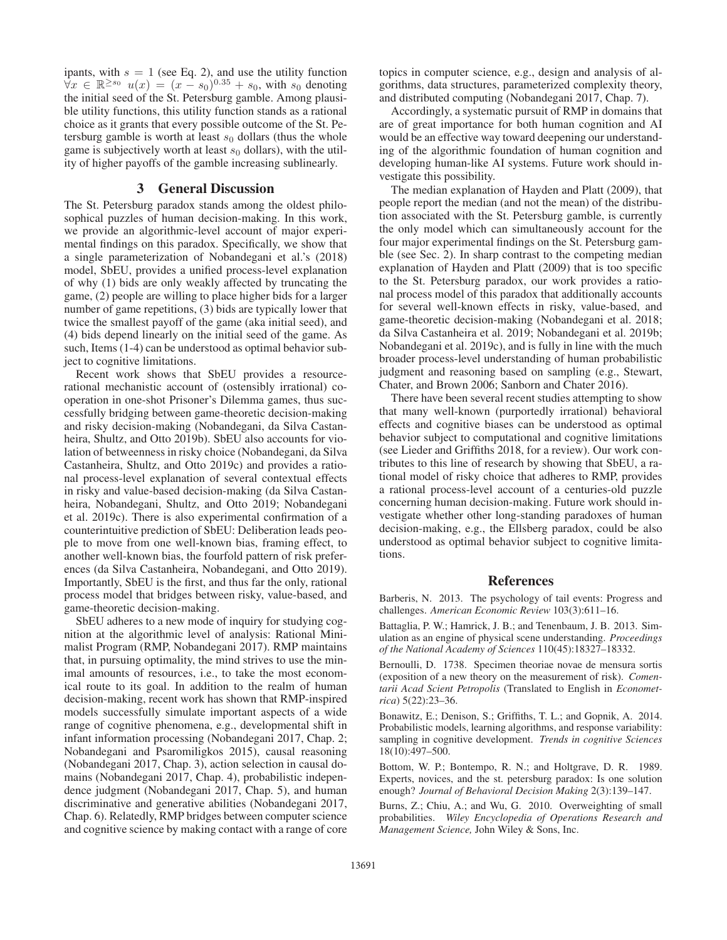ipants, with  $s = 1$  (see Eq. 2), and use the utility function  $\forall x \in \mathbb{R}^{\geq s_0}$   $u(x)=(x-s_0)^{0.35}+s_0$ , with  $s_0$  denoting the initial seed of the St. Petersburg gamble. Among plausible utility functions, this utility function stands as a rational choice as it grants that every possible outcome of the St. Petersburg gamble is worth at least  $s_0$  dollars (thus the whole game is subjectively worth at least  $s_0$  dollars), with the utility of higher payoffs of the gamble increasing sublinearly.

## 3 General Discussion

The St. Petersburg paradox stands among the oldest philosophical puzzles of human decision-making. In this work, we provide an algorithmic-level account of major experimental findings on this paradox. Specifically, we show that a single parameterization of Nobandegani et al.'s (2018) model, SbEU, provides a unified process-level explanation of why (1) bids are only weakly affected by truncating the game, (2) people are willing to place higher bids for a larger number of game repetitions, (3) bids are typically lower that twice the smallest payoff of the game (aka initial seed), and (4) bids depend linearly on the initial seed of the game. As such, Items (1-4) can be understood as optimal behavior subject to cognitive limitations.

Recent work shows that SbEU provides a resourcerational mechanistic account of (ostensibly irrational) cooperation in one-shot Prisoner's Dilemma games, thus successfully bridging between game-theoretic decision-making and risky decision-making (Nobandegani, da Silva Castanheira, Shultz, and Otto 2019b). SbEU also accounts for violation of betweenness in risky choice (Nobandegani, da Silva Castanheira, Shultz, and Otto 2019c) and provides a rational process-level explanation of several contextual effects in risky and value-based decision-making (da Silva Castanheira, Nobandegani, Shultz, and Otto 2019; Nobandegani et al. 2019c). There is also experimental confirmation of a counterintuitive prediction of SbEU: Deliberation leads people to move from one well-known bias, framing effect, to another well-known bias, the fourfold pattern of risk preferences (da Silva Castanheira, Nobandegani, and Otto 2019). Importantly, SbEU is the first, and thus far the only, rational process model that bridges between risky, value-based, and game-theoretic decision-making.

SbEU adheres to a new mode of inquiry for studying cognition at the algorithmic level of analysis: Rational Minimalist Program (RMP, Nobandegani 2017). RMP maintains that, in pursuing optimality, the mind strives to use the minimal amounts of resources, i.e., to take the most economical route to its goal. In addition to the realm of human decision-making, recent work has shown that RMP-inspired models successfully simulate important aspects of a wide range of cognitive phenomena, e.g., developmental shift in infant information processing (Nobandegani 2017, Chap. 2; Nobandegani and Psaromiligkos 2015), causal reasoning (Nobandegani 2017, Chap. 3), action selection in causal domains (Nobandegani 2017, Chap. 4), probabilistic independence judgment (Nobandegani 2017, Chap. 5), and human discriminative and generative abilities (Nobandegani 2017, Chap. 6). Relatedly, RMP bridges between computer science and cognitive science by making contact with a range of core

topics in computer science, e.g., design and analysis of algorithms, data structures, parameterized complexity theory, and distributed computing (Nobandegani 2017, Chap. 7).

Accordingly, a systematic pursuit of RMP in domains that are of great importance for both human cognition and AI would be an effective way toward deepening our understanding of the algorithmic foundation of human cognition and developing human-like AI systems. Future work should investigate this possibility.

The median explanation of Hayden and Platt (2009), that people report the median (and not the mean) of the distribution associated with the St. Petersburg gamble, is currently the only model which can simultaneously account for the four major experimental findings on the St. Petersburg gamble (see Sec. 2). In sharp contrast to the competing median explanation of Hayden and Platt (2009) that is too specific to the St. Petersburg paradox, our work provides a rational process model of this paradox that additionally accounts for several well-known effects in risky, value-based, and game-theoretic decision-making (Nobandegani et al. 2018; da Silva Castanheira et al. 2019; Nobandegani et al. 2019b; Nobandegani et al. 2019c), and is fully in line with the much broader process-level understanding of human probabilistic judgment and reasoning based on sampling (e.g., Stewart, Chater, and Brown 2006; Sanborn and Chater 2016).

There have been several recent studies attempting to show that many well-known (purportedly irrational) behavioral effects and cognitive biases can be understood as optimal behavior subject to computational and cognitive limitations (see Lieder and Griffiths 2018, for a review). Our work contributes to this line of research by showing that SbEU, a rational model of risky choice that adheres to RMP, provides a rational process-level account of a centuries-old puzzle concerning human decision-making. Future work should investigate whether other long-standing paradoxes of human decision-making, e.g., the Ellsberg paradox, could be also understood as optimal behavior subject to cognitive limitations.

#### References

Barberis, N. 2013. The psychology of tail events: Progress and challenges. *American Economic Review* 103(3):611–16.

Battaglia, P. W.; Hamrick, J. B.; and Tenenbaum, J. B. 2013. Simulation as an engine of physical scene understanding. *Proceedings of the National Academy of Sciences* 110(45):18327–18332.

Bernoulli, D. 1738. Specimen theoriae novae de mensura sortis (exposition of a new theory on the measurement of risk). *Comentarii Acad Scient Petropolis* (Translated to English in *Econometrica*) 5(22):23–36.

Bonawitz, E.; Denison, S.; Griffiths, T. L.; and Gopnik, A. 2014. Probabilistic models, learning algorithms, and response variability: sampling in cognitive development. *Trends in cognitive Sciences* 18(10):497–500.

Bottom, W. P.; Bontempo, R. N.; and Holtgrave, D. R. 1989. Experts, novices, and the st. petersburg paradox: Is one solution enough? *Journal of Behavioral Decision Making* 2(3):139–147.

Burns, Z.; Chiu, A.; and Wu, G. 2010. Overweighting of small probabilities. *Wiley Encyclopedia of Operations Research and Management Science,* John Wiley & Sons, Inc.